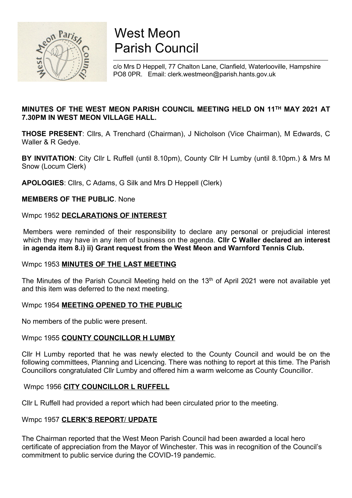

# West Meon Parish Council

c/o Mrs D Heppell, 77 Chalton Lane, Clanfield, Waterlooville, Hampshire PO8 0PR. Email: clerk.westmeon@parish.hants.gov.uk

## MINUTES OF THE WEST MEON PARISH COUNCIL MEETING HELD ON 11TH MAY 2021 AT 7.30PM IN WEST MEON VILLAGE HALL.

THOSE PRESENT: Cllrs, A Trenchard (Chairman), J Nicholson (Vice Chairman), M Edwards, C Waller & R Gedye.

BY INVITATION: City Cllr L Ruffell (until 8.10pm), County Cllr H Lumby (until 8.10pm.) & Mrs M Snow (Locum Clerk)

APOLOGIES: Cllrs, C Adams, G Silk and Mrs D Heppell (Clerk)

MEMBERS OF THE PUBLIC. None

## Wmpc 1952 DECLARATIONS OF INTEREST

Members were reminded of their responsibility to declare any personal or prejudicial interest which they may have in any item of business on the agenda. Cllr C Waller declared an interest in agenda item 8.i) ii) Grant request from the West Meon and Warnford Tennis Club.

## Wmpc 1953 MINUTES OF THE LAST MEETING

The Minutes of the Parish Council Meeting held on the 13<sup>th</sup> of April 2021 were not available yet and this item was deferred to the next meeting.

## Wmpc 1954 MEETING OPENED TO THE PUBLIC

No members of the public were present.

## Wmpc 1955 COUNTY COUNCILLOR H LUMBY

Cllr H Lumby reported that he was newly elected to the County Council and would be on the following committees, Planning and Licencing. There was nothing to report at this time. The Parish Councillors congratulated Cllr Lumby and offered him a warm welcome as County Councillor.

## Wmpc 1956 CITY COUNCILLOR L RUFFELL

Cllr L Ruffell had provided a report which had been circulated prior to the meeting.

## Wmpc 1957 CLERK'S REPORT/ UPDATE

The Chairman reported that the West Meon Parish Council had been awarded a local hero certificate of appreciation from the Mayor of Winchester. This was in recognition of the Council's commitment to public service during the COVID-19 pandemic.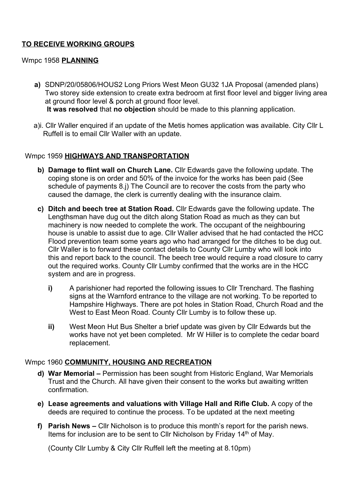# TO RECEIVE WORKING GROUPS

## Wmpc 1958 **PLANNING**

- a) SDNP/20/05806/HOUS2 Long Priors West Meon GU32 1JA Proposal (amended plans) Two storey side extension to create extra bedroom at first floor level and bigger living area at ground floor level & porch at ground floor level. It was resolved that no objection should be made to this planning application.
- a)i. Cllr Waller enquired if an update of the Metis homes application was available. City Cllr L Ruffell is to email Cllr Waller with an update.

## Wmpc 1959 HIGHWAYS AND TRANSPORTATION

- b) Damage to flint wall on Church Lane. Cllr Edwards gave the following update. The coping stone is on order and 50% of the invoice for the works has been paid (See schedule of payments 8.j) The Council are to recover the costs from the party who caused the damage, the clerk is currently dealing with the insurance claim.
- c) Ditch and beech tree at Station Road. Cllr Edwards gave the following update. The Lengthsman have dug out the ditch along Station Road as much as they can but machinery is now needed to complete the work. The occupant of the neighbouring house is unable to assist due to age. Cllr Waller advised that he had contacted the HCC Flood prevention team some years ago who had arranged for the ditches to be dug out. Cllr Waller is to forward these contact details to County Cllr Lumby who will look into this and report back to the council. The beech tree would require a road closure to carry out the required works. County Cllr Lumby confirmed that the works are in the HCC system and are in progress.
	- i) A parishioner had reported the following issues to Cllr Trenchard. The flashing signs at the Warnford entrance to the village are not working. To be reported to Hampshire Highways. There are pot holes in Station Road, Church Road and the West to East Meon Road. County Cllr Lumby is to follow these up.
	- ii) West Meon Hut Bus Shelter a brief update was given by Cllr Edwards but the works have not yet been completed. Mr W Hiller is to complete the cedar board replacement.

## Wmpc 1960 COMMUNITY, HOUSING AND RECREATION

- d) War Memorial Permission has been sought from Historic England, War Memorials Trust and the Church. All have given their consent to the works but awaiting written confirmation.
- e) Lease agreements and valuations with Village Hall and Rifle Club. A copy of the deeds are required to continue the process. To be updated at the next meeting
- f) Parish News Cllr Nicholson is to produce this month's report for the parish news. Items for inclusion are to be sent to CIIr Nicholson by Friday 14<sup>th</sup> of May.

(County Cllr Lumby & City Cllr Ruffell left the meeting at 8.10pm)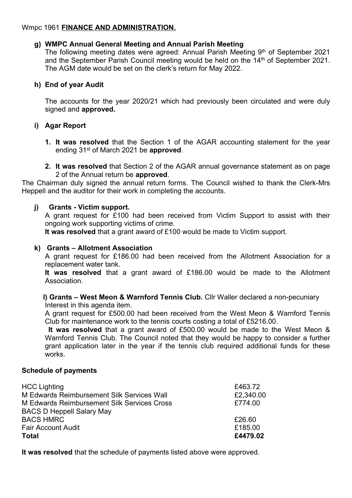## Wmpc 1961 FINANCE AND ADMINISTRATION.

## g) WMPC Annual General Meeting and Annual Parish Meeting

The following meeting dates were agreed: Annual Parish Meeting  $9<sup>th</sup>$  of September 2021 and the September Parish Council meeting would be held on the 14<sup>th</sup> of September 2021. The AGM date would be set on the clerk's return for May 2022.

## h) End of year Audit

The accounts for the year 2020/21 which had previously been circulated and were duly signed and approved.

## i) Agar Report

- 1. It was resolved that the Section 1 of the AGAR accounting statement for the year ending 31<sup>st</sup> of March 2021 be approved.
- 2. It was resolved that Section 2 of the AGAR annual governance statement as on page 2 of the Annual return be approved.

The Chairman duly signed the annual return forms. The Council wished to thank the Clerk-Mrs Heppell and the auditor for their work in completing the accounts.

## j) Grants - Victim support.

A grant request for £100 had been received from Victim Support to assist with their ongoing work supporting victims of crime.

It was resolved that a grant award of £100 would be made to Victim support.

## k) Grants – Allotment Association

A grant request for £186.00 had been received from the Allotment Association for a replacement water tank.

It was resolved that a grant award of £186.00 would be made to the Allotment Association.

#### l) Grants – West Meon & Warnford Tennis Club. Cllr Waller declared a non-pecuniary Interest in this agenda item.

A grant request for £500.00 had been received from the West Meon & Warnford Tennis Club for maintenance work to the tennis courts costing a total of £5216.00.

It was resolved that a grant award of £500.00 would be made to the West Meon & Warnford Tennis Club. The Council noted that they would be happy to consider a further grant application later in the year if the tennis club required additional funds for these works.

## Schedule of payments

| <b>HCC Lighting</b>                         | £463.72   |
|---------------------------------------------|-----------|
| M Edwards Reimbursement Silk Services Wall  | £2,340.00 |
| M Edwards Reimbursement Silk Services Cross | £774.00   |
| <b>BACS D Heppell Salary May</b>            |           |
| <b>BACS HMRC</b>                            | £26.60    |
| <b>Fair Account Audit</b>                   | £185.00   |
| <b>Total</b>                                | £4479.02  |

It was resolved that the schedule of payments listed above were approved.